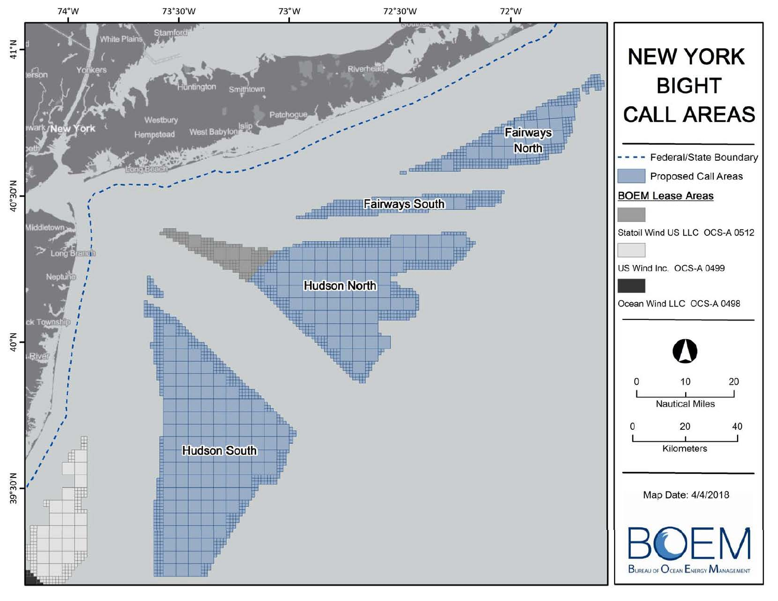